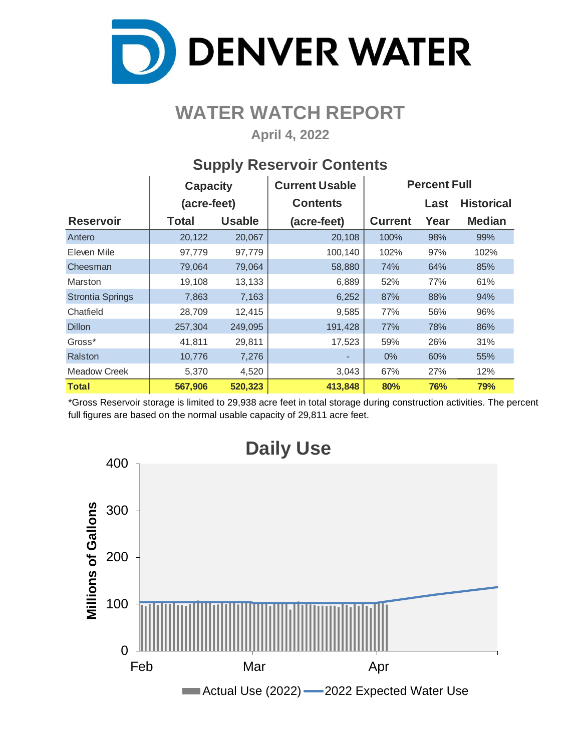

## **WATER WATCH REPORT**

**April 4, 2022**

## **Supply Reservoir Contents**

|                         | <b>Capacity</b> |               | <b>Current Usable</b> | <b>Percent Full</b> |      |                   |  |  |  |
|-------------------------|-----------------|---------------|-----------------------|---------------------|------|-------------------|--|--|--|
|                         | (acre-feet)     |               | <b>Contents</b>       |                     | Last | <b>Historical</b> |  |  |  |
| <b>Reservoir</b>        | <b>Total</b>    | <b>Usable</b> | (acre-feet)           | <b>Current</b>      | Year | <b>Median</b>     |  |  |  |
| Antero                  | 20,122          | 20,067        | 20,108                | 100%                | 98%  | 99%               |  |  |  |
| Eleven Mile             | 97,779          | 97,779        | 100,140               | 102%                | 97%  | 102%              |  |  |  |
| Cheesman                | 79,064          | 79,064        | 58,880                | 74%                 | 64%  | 85%               |  |  |  |
| Marston                 | 19,108          | 13,133        | 6,889                 | 52%                 | 77%  | 61%               |  |  |  |
| <b>Strontia Springs</b> | 7,863           | 7,163         | 6,252                 | 87%                 | 88%  | 94%               |  |  |  |
| Chatfield               | 28,709          | 12,415        | 9,585                 | 77%                 | 56%  | 96%               |  |  |  |
| <b>Dillon</b>           | 257,304         | 249,095       | 191,428               | 77%                 | 78%  | 86%               |  |  |  |
| Gross*                  | 41,811          | 29,811        | 17,523                | 59%                 | 26%  | 31%               |  |  |  |
| Ralston                 | 10,776          | 7,276         |                       | $0\%$               | 60%  | 55%               |  |  |  |
| Meadow Creek            | 5,370           | 4,520         | 3,043                 | 67%                 | 27%  | 12%               |  |  |  |
| <b>Total</b>            | 567,906         | 520,323       | 413,848               | 80%                 | 76%  | 79%               |  |  |  |

\*Gross Reservoir storage is limited to 29,938 acre feet in total storage during construction activities. The percent full figures are based on the normal usable capacity of 29,811 acre feet.

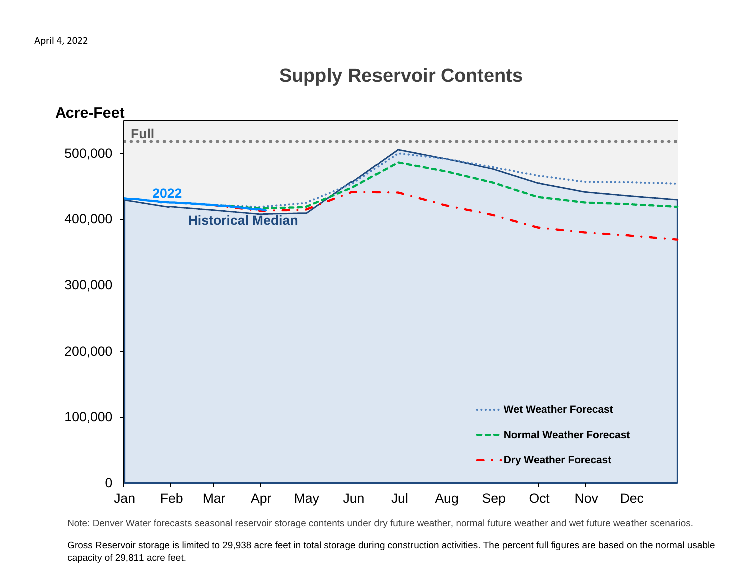## **Supply Reservoir Contents**



Note: Denver Water forecasts seasonal reservoir storage contents under dry future weather, normal future weather and wet future weather scenarios.

Gross Reservoir storage is limited to 29,938 acre feet in total storage during construction activities. The percent full figures are based on the normal usable capacity of 29,811 acre feet.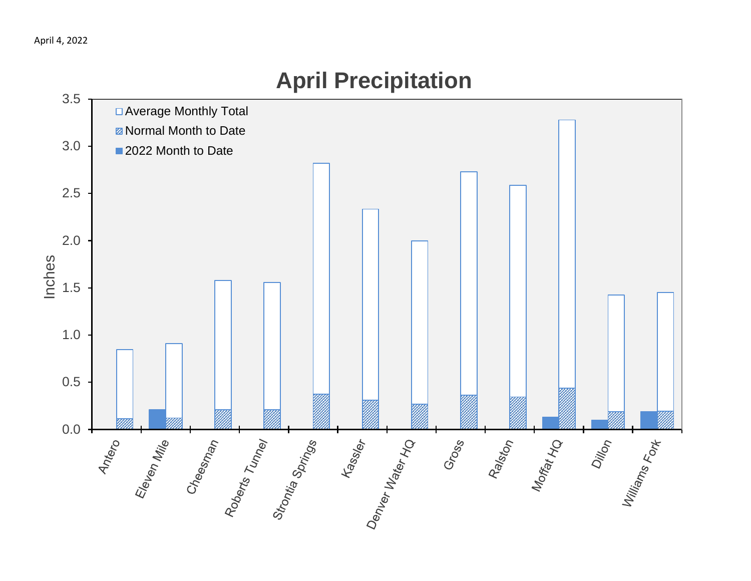# 3.5 □ Average Monthly Total **Z** Normal Month to Date 3.0 ■ 2022 Month to Date 2.5 2.0 Inches 1.5 1.0 0.5 ss ss fessier Land of 0.0 Antero Eleven Mile<br>Cheesanan Cheesanan Cheesanan Cheesanan Cheesanan Cheesanan Ralston<br>Morfat Ho Dillon<br>Williams<br><sup>Terns Fort</sup> Gross

# **April Precipitation**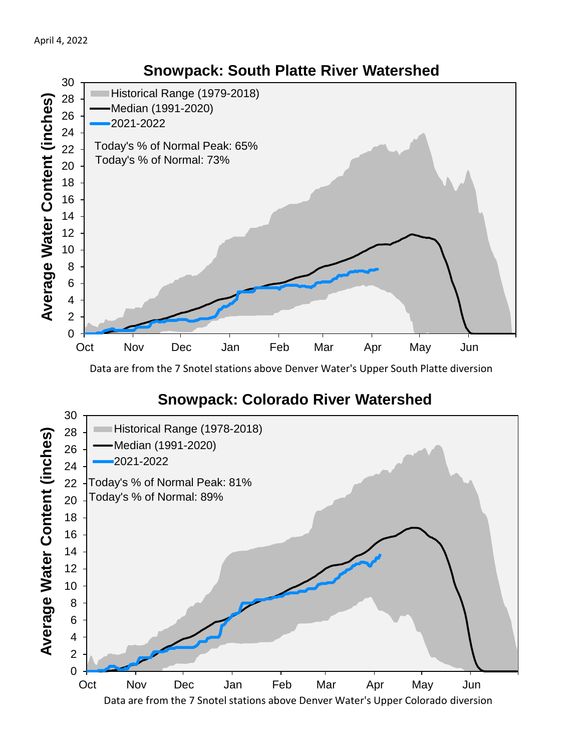

Data are from the 7 Snotel stations above Denver Water's Upper South Platte diversion

#### **Snowpack: Colorado River Watershed**

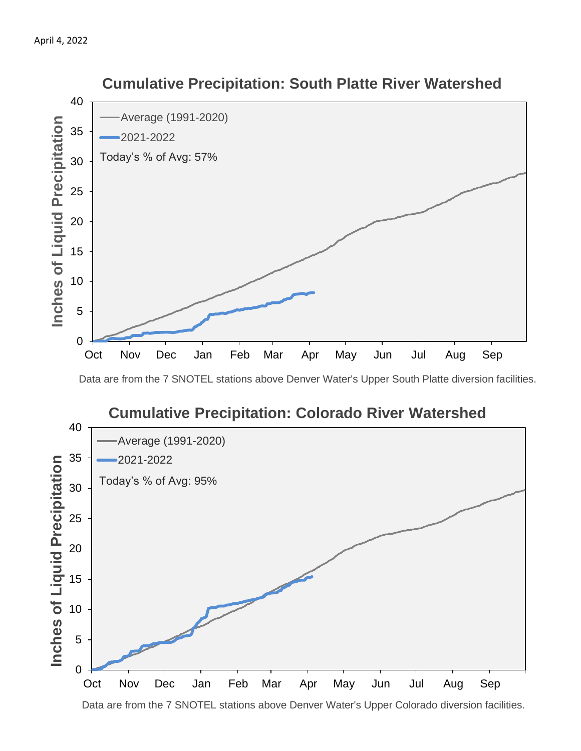

#### **Cumulative Precipitation: South Platte River Watershed**

Data are from the 7 SNOTEL stations above Denver Water's Upper South Platte diversion facilities.



Data are from the 7 SNOTEL stations above Denver Water's Upper Colorado diversion facilities.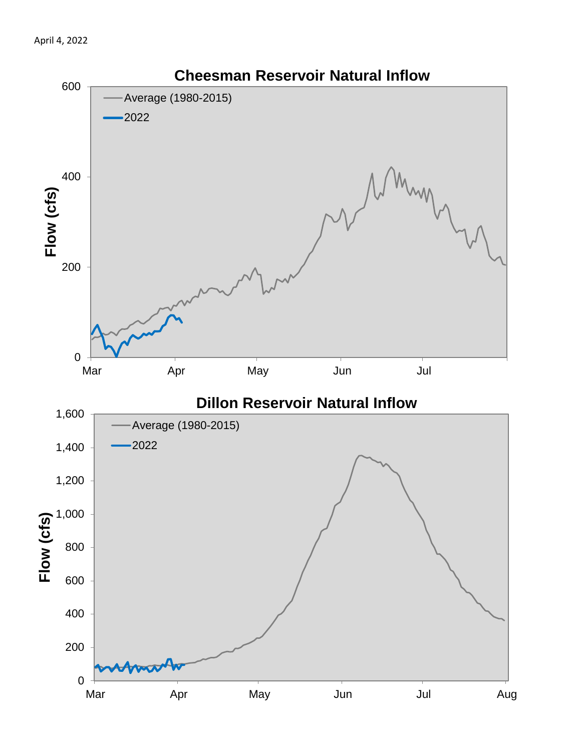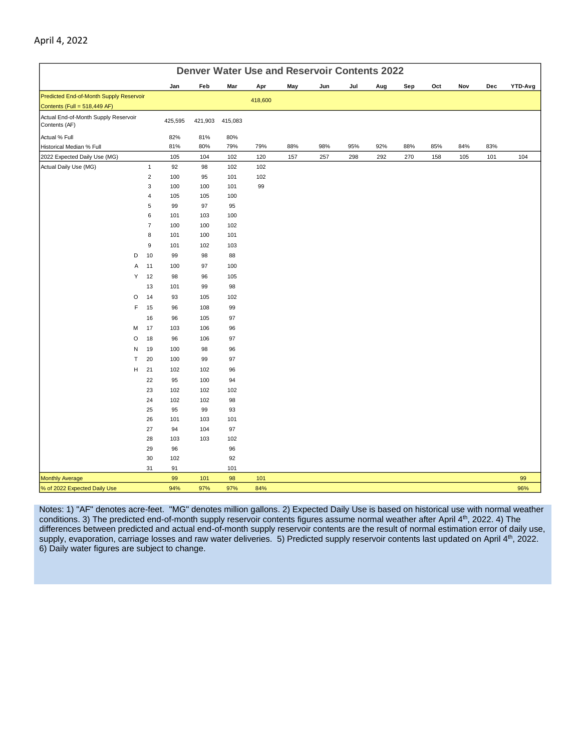|                                                                         | <b>Denver Water Use and Reservoir Contents 2022</b> |         |         |         |         |     |     |     |     |     |     |     |     |         |
|-------------------------------------------------------------------------|-----------------------------------------------------|---------|---------|---------|---------|-----|-----|-----|-----|-----|-----|-----|-----|---------|
|                                                                         |                                                     | Jan     | Feb     | Mar     | Apr     | May | Jun | Jul | Aug | Sep | Oct | Nov | Dec | YTD-Avg |
| Predicted End-of-Month Supply Reservoir<br>Contents (Full = 518,449 AF) |                                                     |         |         |         | 418,600 |     |     |     |     |     |     |     |     |         |
| Actual End-of-Month Supply Reservoir<br>Contents (AF)                   |                                                     | 425,595 | 421,903 | 415,083 |         |     |     |     |     |     |     |     |     |         |
| Actual % Full                                                           |                                                     | 82%     | 81%     | 80%     |         |     |     |     |     |     |     |     |     |         |
| Historical Median % Full                                                |                                                     | 81%     | 80%     | 79%     | 79%     | 88% | 98% | 95% | 92% | 88% | 85% | 84% | 83% |         |
| 2022 Expected Daily Use (MG)                                            |                                                     | 105     | 104     | 102     | 120     | 157 | 257 | 298 | 292 | 270 | 158 | 105 | 101 | 104     |
| Actual Daily Use (MG)                                                   | $\mathbf{1}$                                        | 92      | 98      | 102     | 102     |     |     |     |     |     |     |     |     |         |
|                                                                         | $\mathbf 2$                                         | 100     | 95      | 101     | 102     |     |     |     |     |     |     |     |     |         |
|                                                                         | 3                                                   | 100     | 100     | 101     | 99      |     |     |     |     |     |     |     |     |         |
|                                                                         | 4                                                   | 105     | 105     | 100     |         |     |     |     |     |     |     |     |     |         |
|                                                                         | 5                                                   | 99      | 97      | 95      |         |     |     |     |     |     |     |     |     |         |
|                                                                         | 6                                                   | 101     | 103     | 100     |         |     |     |     |     |     |     |     |     |         |
|                                                                         | $\overline{7}$                                      | 100     | 100     | 102     |         |     |     |     |     |     |     |     |     |         |
|                                                                         | 8                                                   | 101     | 100     | 101     |         |     |     |     |     |     |     |     |     |         |
|                                                                         | 9                                                   | 101     | 102     | 103     |         |     |     |     |     |     |     |     |     |         |
| D                                                                       | 10                                                  | 99      | 98      | 88      |         |     |     |     |     |     |     |     |     |         |
| Α                                                                       | 11                                                  | 100     | 97      | 100     |         |     |     |     |     |     |     |     |     |         |
| Υ                                                                       | 12                                                  | 98      | 96      | 105     |         |     |     |     |     |     |     |     |     |         |
|                                                                         | 13                                                  | 101     | 99      | 98      |         |     |     |     |     |     |     |     |     |         |
| O                                                                       | 14                                                  | 93      | 105     | 102     |         |     |     |     |     |     |     |     |     |         |
| F                                                                       | 15                                                  | 96      | 108     | 99      |         |     |     |     |     |     |     |     |     |         |
|                                                                         | 16                                                  | 96      | 105     | 97      |         |     |     |     |     |     |     |     |     |         |
| M                                                                       | 17                                                  | 103     | 106     | 96      |         |     |     |     |     |     |     |     |     |         |
| O                                                                       | 18                                                  | 96      | 106     | 97      |         |     |     |     |     |     |     |     |     |         |
| N                                                                       | 19                                                  | 100     | 98      | 96      |         |     |     |     |     |     |     |     |     |         |
| T                                                                       | 20                                                  | 100     | 99      | 97      |         |     |     |     |     |     |     |     |     |         |
| н                                                                       | 21                                                  | 102     | 102     | 96      |         |     |     |     |     |     |     |     |     |         |
|                                                                         | 22                                                  | 95      | 100     | 94      |         |     |     |     |     |     |     |     |     |         |
|                                                                         | 23                                                  | 102     | 102     | 102     |         |     |     |     |     |     |     |     |     |         |
|                                                                         | 24                                                  | 102     | 102     | 98      |         |     |     |     |     |     |     |     |     |         |
|                                                                         | 25                                                  | 95      | 99      | 93      |         |     |     |     |     |     |     |     |     |         |
|                                                                         | 26                                                  | 101     | 103     | 101     |         |     |     |     |     |     |     |     |     |         |
|                                                                         | 27                                                  | 94      | 104     | 97      |         |     |     |     |     |     |     |     |     |         |
|                                                                         | 28                                                  | 103     | 103     | 102     |         |     |     |     |     |     |     |     |     |         |
|                                                                         | 29                                                  | 96      |         | 96      |         |     |     |     |     |     |     |     |     |         |
|                                                                         | 30                                                  | 102     |         | 92      |         |     |     |     |     |     |     |     |     |         |
|                                                                         | 31                                                  | 91      |         | 101     |         |     |     |     |     |     |     |     |     |         |
| <b>Monthly Average</b>                                                  |                                                     | 99      | 101     | 98      | 101     |     |     |     |     |     |     |     |     | 99      |
| % of 2022 Expected Daily Use                                            |                                                     | 94%     | 97%     | 97%     | 84%     |     |     |     |     |     |     |     |     | 96%     |

Notes: 1) "AF" denotes acre-feet. "MG" denotes million gallons. 2) Expected Daily Use is based on historical use with normal weather conditions. 3) The predicted end-of-month supply reservoir contents figures assume normal weather after April 4th, 2022. 4) The differences between predicted and actual end-of-month supply reservoir contents are the result of normal estimation error of daily use, supply, evaporation, carriage losses and raw water deliveries. 5) Predicted supply reservoir contents last updated on April 4<sup>th</sup>, 2022. 6) Daily water figures are subject to change.